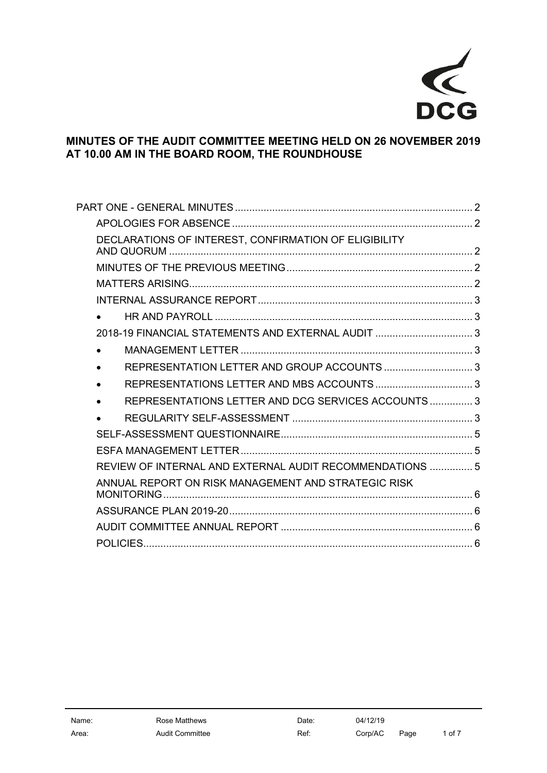

## **MINUTES OF THE AUDIT COMMITTEE MEETING HELD ON 26 NOVEMBER 2019 AT 10.00 AM IN THE BOARD ROOM, THE ROUNDHOUSE**

| DECLARATIONS OF INTEREST, CONFIRMATION OF ELIGIBILITY    |  |
|----------------------------------------------------------|--|
|                                                          |  |
|                                                          |  |
|                                                          |  |
|                                                          |  |
| 2018-19 FINANCIAL STATEMENTS AND EXTERNAL AUDIT  3       |  |
|                                                          |  |
|                                                          |  |
|                                                          |  |
| REPRESENTATIONS LETTER AND DCG SERVICES ACCOUNTS  3      |  |
|                                                          |  |
|                                                          |  |
|                                                          |  |
| REVIEW OF INTERNAL AND EXTERNAL AUDIT RECOMMENDATIONS  5 |  |
| ANNUAL REPORT ON RISK MANAGEMENT AND STRATEGIC RISK      |  |
|                                                          |  |
|                                                          |  |
|                                                          |  |
|                                                          |  |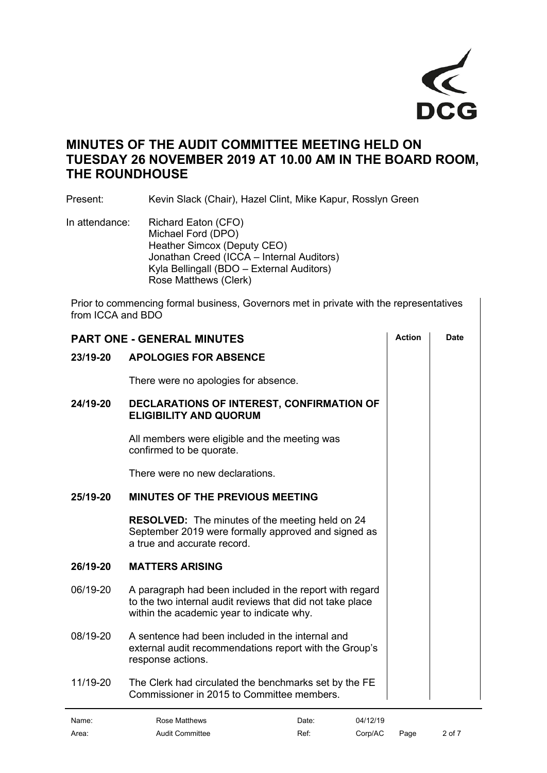

## **MINUTES OF THE AUDIT COMMITTEE MEETING HELD ON TUESDAY 26 NOVEMBER 2019 AT 10.00 AM IN THE BOARD ROOM, THE ROUNDHOUSE**

Present: Kevin Slack (Chair), Hazel Clint, Mike Kapur, Rosslyn Green

In attendance: Richard Eaton (CFO) Michael Ford (DPO) Heather Simcox (Deputy CEO) Jonathan Creed (ICCA – Internal Auditors) Kyla Bellingall (BDO – External Auditors) Rose Matthews (Clerk)

Prior to commencing formal business, Governors met in private with the representatives from ICCA and BDO

<span id="page-1-4"></span><span id="page-1-3"></span><span id="page-1-2"></span><span id="page-1-1"></span><span id="page-1-0"></span>

| <b>PART ONE - GENERAL MINUTES</b>        | <b>Action</b>                                                                                                                                                     | Date  |          |      |        |
|------------------------------------------|-------------------------------------------------------------------------------------------------------------------------------------------------------------------|-------|----------|------|--------|
| 23/19-20<br><b>APOLOGIES FOR ABSENCE</b> |                                                                                                                                                                   |       |          |      |        |
|                                          | There were no apologies for absence.                                                                                                                              |       |          |      |        |
| 24/19-20                                 | DECLARATIONS OF INTEREST, CONFIRMATION OF<br><b>ELIGIBILITY AND QUORUM</b>                                                                                        |       |          |      |        |
|                                          | All members were eligible and the meeting was<br>confirmed to be quorate.                                                                                         |       |          |      |        |
|                                          | There were no new declarations.                                                                                                                                   |       |          |      |        |
| 25/19-20                                 | <b>MINUTES OF THE PREVIOUS MEETING</b>                                                                                                                            |       |          |      |        |
|                                          | <b>RESOLVED:</b> The minutes of the meeting held on 24<br>September 2019 were formally approved and signed as<br>a true and accurate record.                      |       |          |      |        |
| 26/19-20                                 | <b>MATTERS ARISING</b>                                                                                                                                            |       |          |      |        |
| 06/19-20                                 | A paragraph had been included in the report with regard<br>to the two internal audit reviews that did not take place<br>within the academic year to indicate why. |       |          |      |        |
| 08/19-20                                 | A sentence had been included in the internal and<br>external audit recommendations report with the Group's<br>response actions.                                   |       |          |      |        |
| 11/19-20                                 | The Clerk had circulated the benchmarks set by the FE<br>Commissioner in 2015 to Committee members.                                                               |       |          |      |        |
| Name:                                    | <b>Rose Matthews</b>                                                                                                                                              | Date: | 04/12/19 |      |        |
| Area:                                    | <b>Audit Committee</b>                                                                                                                                            | Ref:  | Corp/AC  | Page | 2 of 7 |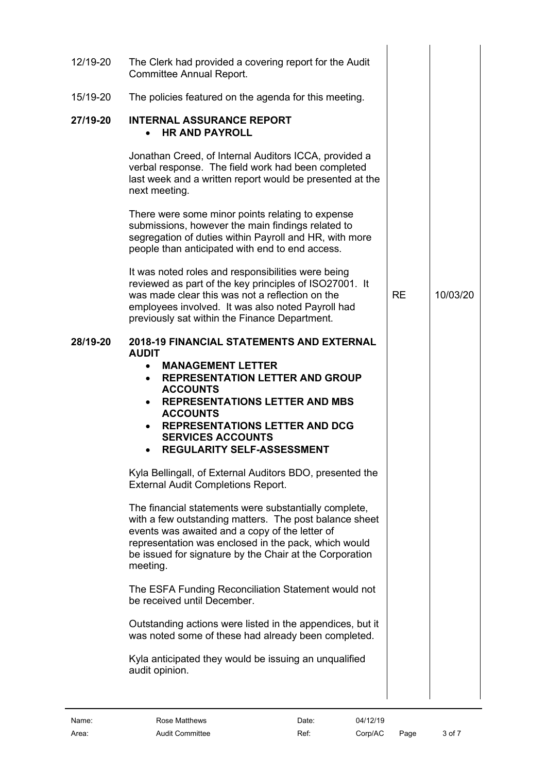<span id="page-2-7"></span><span id="page-2-6"></span><span id="page-2-5"></span><span id="page-2-4"></span><span id="page-2-3"></span><span id="page-2-2"></span><span id="page-2-1"></span><span id="page-2-0"></span>

| 12/19-20 | The Clerk had provided a covering report for the Audit<br><b>Committee Annual Report.</b>                                                                                                                                                                                                                                                    |           |          |
|----------|----------------------------------------------------------------------------------------------------------------------------------------------------------------------------------------------------------------------------------------------------------------------------------------------------------------------------------------------|-----------|----------|
| 15/19-20 | The policies featured on the agenda for this meeting.                                                                                                                                                                                                                                                                                        |           |          |
| 27/19-20 | <b>INTERNAL ASSURANCE REPORT</b><br><b>HR AND PAYROLL</b><br>$\bullet$                                                                                                                                                                                                                                                                       |           |          |
|          | Jonathan Creed, of Internal Auditors ICCA, provided a<br>verbal response. The field work had been completed<br>last week and a written report would be presented at the<br>next meeting.                                                                                                                                                     |           |          |
|          | There were some minor points relating to expense<br>submissions, however the main findings related to<br>segregation of duties within Payroll and HR, with more<br>people than anticipated with end to end access.                                                                                                                           |           |          |
|          | It was noted roles and responsibilities were being<br>reviewed as part of the key principles of ISO27001. It<br>was made clear this was not a reflection on the<br>employees involved. It was also noted Payroll had<br>previously sat within the Finance Department.                                                                        | <b>RE</b> | 10/03/20 |
| 28/19-20 | <b>2018-19 FINANCIAL STATEMENTS AND EXTERNAL</b><br><b>AUDIT</b><br><b>MANAGEMENT LETTER</b><br><b>REPRESENTATION LETTER AND GROUP</b><br><b>ACCOUNTS</b><br><b>REPRESENTATIONS LETTER AND MBS</b><br>$\bullet$<br><b>ACCOUNTS</b><br><b>REPRESENTATIONS LETTER AND DCG</b><br><b>SERVICES ACCOUNTS</b><br><b>REGULARITY SELF-ASSESSMENT</b> |           |          |
|          | Kyla Bellingall, of External Auditors BDO, presented the<br><b>External Audit Completions Report.</b>                                                                                                                                                                                                                                        |           |          |
|          | The financial statements were substantially complete,<br>with a few outstanding matters. The post balance sheet<br>events was awaited and a copy of the letter of<br>representation was enclosed in the pack, which would<br>be issued for signature by the Chair at the Corporation<br>meeting.                                             |           |          |
|          | The ESFA Funding Reconciliation Statement would not<br>be received until December.                                                                                                                                                                                                                                                           |           |          |
|          | Outstanding actions were listed in the appendices, but it<br>was noted some of these had already been completed.                                                                                                                                                                                                                             |           |          |
|          | Kyla anticipated they would be issuing an unqualified<br>audit opinion.                                                                                                                                                                                                                                                                      |           |          |
|          |                                                                                                                                                                                                                                                                                                                                              |           |          |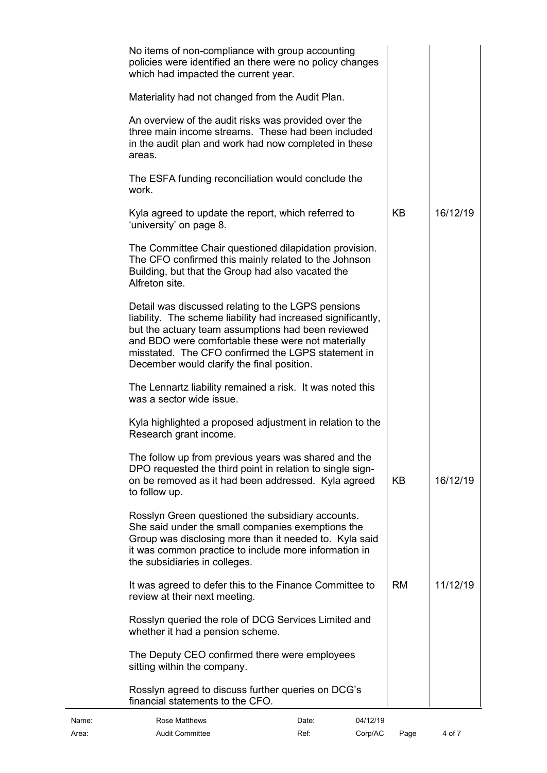| Name: | Rose Matthews                                                                                                                                                                                                                                                                                                                      | Date: | 04/12/19 |           |          |
|-------|------------------------------------------------------------------------------------------------------------------------------------------------------------------------------------------------------------------------------------------------------------------------------------------------------------------------------------|-------|----------|-----------|----------|
|       | Rosslyn agreed to discuss further queries on DCG's<br>financial statements to the CFO.                                                                                                                                                                                                                                             |       |          |           |          |
|       | The Deputy CEO confirmed there were employees<br>sitting within the company.                                                                                                                                                                                                                                                       |       |          |           |          |
|       | Rosslyn queried the role of DCG Services Limited and<br>whether it had a pension scheme.                                                                                                                                                                                                                                           |       |          |           |          |
|       | It was agreed to defer this to the Finance Committee to<br>review at their next meeting.                                                                                                                                                                                                                                           |       |          | <b>RM</b> | 11/12/19 |
|       | Rosslyn Green questioned the subsidiary accounts.<br>She said under the small companies exemptions the<br>Group was disclosing more than it needed to. Kyla said<br>it was common practice to include more information in<br>the subsidiaries in colleges.                                                                         |       |          |           |          |
|       | The follow up from previous years was shared and the<br>DPO requested the third point in relation to single sign-<br>on be removed as it had been addressed. Kyla agreed<br>to follow up.                                                                                                                                          |       |          | KB        | 16/12/19 |
|       | Kyla highlighted a proposed adjustment in relation to the<br>Research grant income.                                                                                                                                                                                                                                                |       |          |           |          |
|       | The Lennartz liability remained a risk. It was noted this<br>was a sector wide issue.                                                                                                                                                                                                                                              |       |          |           |          |
|       | Detail was discussed relating to the LGPS pensions<br>liability. The scheme liability had increased significantly,<br>but the actuary team assumptions had been reviewed<br>and BDO were comfortable these were not materially<br>misstated. The CFO confirmed the LGPS statement in<br>December would clarify the final position. |       |          |           |          |
|       | The Committee Chair questioned dilapidation provision.<br>The CFO confirmed this mainly related to the Johnson<br>Building, but that the Group had also vacated the<br>Alfreton site                                                                                                                                               |       |          |           |          |
|       | Kyla agreed to update the report, which referred to<br>'university' on page 8.                                                                                                                                                                                                                                                     |       |          | KB        | 16/12/19 |
|       | The ESFA funding reconciliation would conclude the<br>work.                                                                                                                                                                                                                                                                        |       |          |           |          |
|       | An overview of the audit risks was provided over the<br>three main income streams. These had been included<br>in the audit plan and work had now completed in these<br>areas.                                                                                                                                                      |       |          |           |          |
|       | Materiality had not changed from the Audit Plan.                                                                                                                                                                                                                                                                                   |       |          |           |          |
|       | No items of non-compliance with group accounting<br>policies were identified an there were no policy changes<br>which had impacted the current year.                                                                                                                                                                               |       |          |           |          |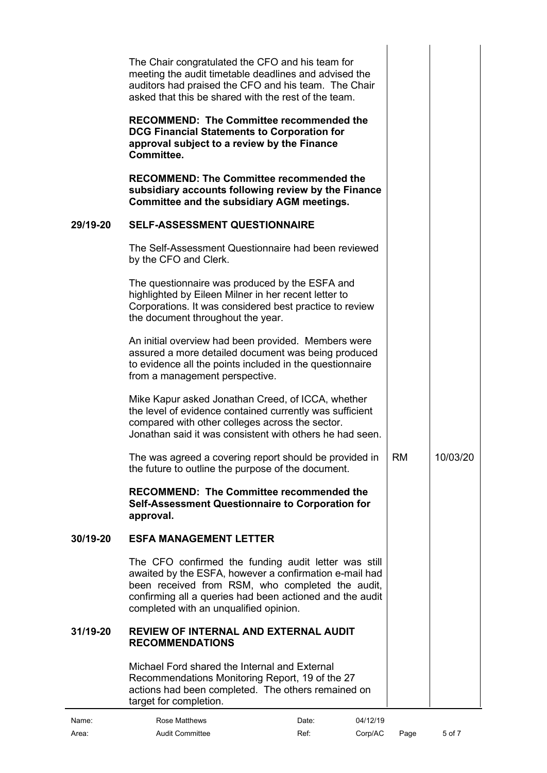<span id="page-4-2"></span><span id="page-4-1"></span><span id="page-4-0"></span>

| 29/19-20 | The Chair congratulated the CFO and his team for<br>meeting the audit timetable deadlines and advised the<br>auditors had praised the CFO and his team. The Chair<br>asked that this be shared with the rest of the team.<br><b>RECOMMEND: The Committee recommended the</b><br><b>DCG Financial Statements to Corporation for</b><br>approval subject to a review by the Finance<br>Committee.<br><b>RECOMMEND: The Committee recommended the</b><br>subsidiary accounts following review by the Finance<br><b>Committee and the subsidiary AGM meetings.</b><br><b>SELF-ASSESSMENT QUESTIONNAIRE</b><br>The Self-Assessment Questionnaire had been reviewed<br>by the CFO and Clerk. |           |          |
|----------|----------------------------------------------------------------------------------------------------------------------------------------------------------------------------------------------------------------------------------------------------------------------------------------------------------------------------------------------------------------------------------------------------------------------------------------------------------------------------------------------------------------------------------------------------------------------------------------------------------------------------------------------------------------------------------------|-----------|----------|
|          | The questionnaire was produced by the ESFA and<br>highlighted by Eileen Milner in her recent letter to<br>Corporations. It was considered best practice to review<br>the document throughout the year.<br>An initial overview had been provided. Members were<br>assured a more detailed document was being produced<br>to evidence all the points included in the questionnaire<br>from a management perspective.<br>Mike Kapur asked Jonathan Creed, of ICCA, whether<br>the level of evidence contained currently was sufficient<br>compared with other colleges across the sector.<br>Jonathan said it was consistent with others he had seen.                                     |           |          |
|          | The was agreed a covering report should be provided in<br>the future to outline the purpose of the document.<br><b>RECOMMEND: The Committee recommended the</b><br>Self-Assessment Questionnaire to Corporation for<br>approval.                                                                                                                                                                                                                                                                                                                                                                                                                                                       | <b>RM</b> | 10/03/20 |
| 30/19-20 | <b>ESFA MANAGEMENT LETTER</b>                                                                                                                                                                                                                                                                                                                                                                                                                                                                                                                                                                                                                                                          |           |          |
|          | The CFO confirmed the funding audit letter was still<br>awaited by the ESFA, however a confirmation e-mail had<br>been received from RSM, who completed the audit,<br>confirming all a queries had been actioned and the audit<br>completed with an unqualified opinion.                                                                                                                                                                                                                                                                                                                                                                                                               |           |          |
| 31/19-20 | <b>REVIEW OF INTERNAL AND EXTERNAL AUDIT</b><br><b>RECOMMENDATIONS</b>                                                                                                                                                                                                                                                                                                                                                                                                                                                                                                                                                                                                                 |           |          |
|          | Michael Ford shared the Internal and External<br>Recommendations Monitoring Report, 19 of the 27<br>actions had been completed. The others remained on<br>target for completion.                                                                                                                                                                                                                                                                                                                                                                                                                                                                                                       |           |          |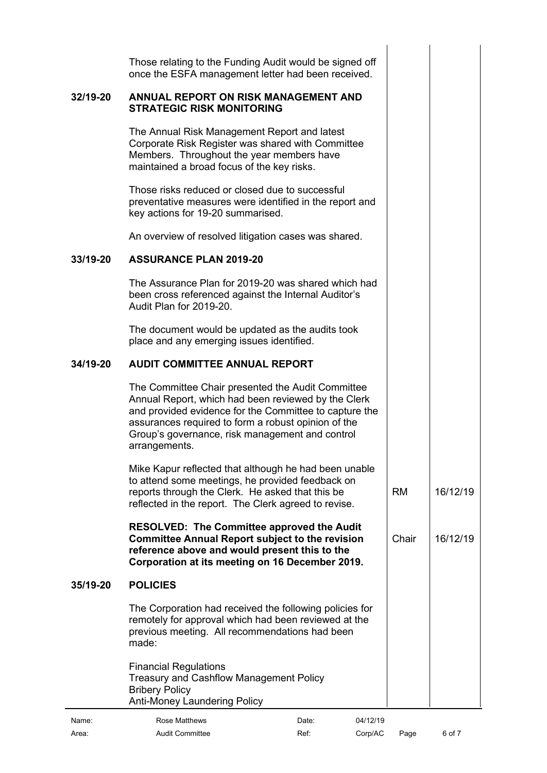<span id="page-5-2"></span><span id="page-5-1"></span><span id="page-5-0"></span>

|          | Those relating to the Funding Audit would be signed off<br>once the ESFA management letter had been received.                                                                                                                                                                                 |       |          |           |          |
|----------|-----------------------------------------------------------------------------------------------------------------------------------------------------------------------------------------------------------------------------------------------------------------------------------------------|-------|----------|-----------|----------|
| 32/19-20 | <b>ANNUAL REPORT ON RISK MANAGEMENT AND</b><br><b>STRATEGIC RISK MONITORING</b>                                                                                                                                                                                                               |       |          |           |          |
|          | The Annual Risk Management Report and latest<br>Corporate Risk Register was shared with Committee<br>Members. Throughout the year members have<br>maintained a broad focus of the key risks.                                                                                                  |       |          |           |          |
|          | Those risks reduced or closed due to successful<br>preventative measures were identified in the report and<br>key actions for 19-20 summarised.                                                                                                                                               |       |          |           |          |
|          | An overview of resolved litigation cases was shared.                                                                                                                                                                                                                                          |       |          |           |          |
| 33/19-20 | <b>ASSURANCE PLAN 2019-20</b>                                                                                                                                                                                                                                                                 |       |          |           |          |
|          | The Assurance Plan for 2019-20 was shared which had<br>been cross referenced against the Internal Auditor's<br>Audit Plan for 2019-20.                                                                                                                                                        |       |          |           |          |
|          | The document would be updated as the audits took<br>place and any emerging issues identified.                                                                                                                                                                                                 |       |          |           |          |
| 34/19-20 | <b>AUDIT COMMITTEE ANNUAL REPORT</b>                                                                                                                                                                                                                                                          |       |          |           |          |
|          | The Committee Chair presented the Audit Committee<br>Annual Report, which had been reviewed by the Clerk<br>and provided evidence for the Committee to capture the<br>assurances required to form a robust opinion of the<br>Group's governance, risk management and control<br>arrangements. |       |          |           |          |
|          | Mike Kapur reflected that although he had been unable<br>to attend some meetings, he provided feedback on<br>reports through the Clerk. He asked that this be<br>reflected in the report. The Clerk agreed to revise.                                                                         |       |          | <b>RM</b> | 16/12/19 |
|          | <b>RESOLVED: The Committee approved the Audit</b><br><b>Committee Annual Report subject to the revision</b><br>reference above and would present this to the<br>Corporation at its meeting on 16 December 2019.                                                                               |       |          | Chair     | 16/12/19 |
| 35/19-20 | <b>POLICIES</b>                                                                                                                                                                                                                                                                               |       |          |           |          |
|          | The Corporation had received the following policies for<br>remotely for approval which had been reviewed at the<br>previous meeting. All recommendations had been<br>made:                                                                                                                    |       |          |           |          |
|          | <b>Financial Regulations</b><br><b>Treasury and Cashflow Management Policy</b><br><b>Bribery Policy</b><br><b>Anti-Money Laundering Policy</b>                                                                                                                                                |       |          |           |          |
| Name:    | <b>Rose Matthews</b>                                                                                                                                                                                                                                                                          | Date: | 04/12/19 |           |          |

<span id="page-5-3"></span>Area: Audit Committee Ref: Corp/AC Page 6 of 7